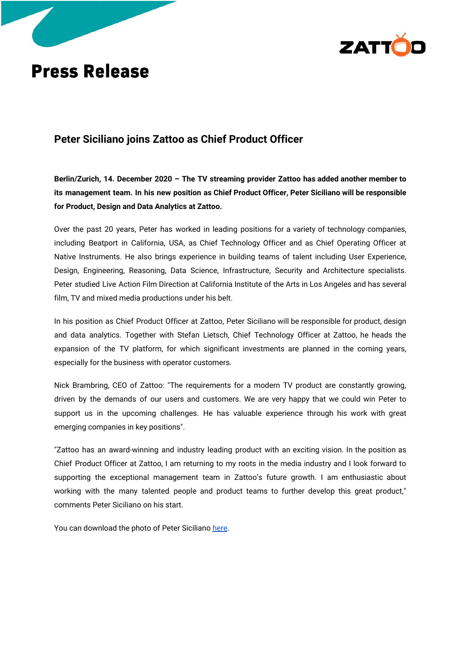

## **Press Release**

## **Peter Siciliano joins Zattoo as Chief Product Officer**

**Berlin/Zurich, 14. December 2020 – The TV streaming provider Zattoo has added another member to its management team. In his new position as Chief Product Officer, Peter Siciliano will be responsible for Product, Design and Data Analytics at Zattoo.**

Over the past 20 years, Peter has worked in leading positions for a variety of technology companies, including Beatport in California, USA, as Chief Technology Officer and as Chief Operating Officer at Native Instruments. He also brings experience in building teams of talent including User Experience, Design, Engineering, Reasoning, Data Science, Infrastructure, Security and Architecture specialists. Peter studied Live Action Film Direction at California Institute of the Arts in Los Angeles and has several film, TV and mixed media productions under his belt.

In his position as Chief Product Officer at Zattoo, Peter Siciliano will be responsible for product, design and data analytics. Together with Stefan Lietsch, Chief Technology Officer at Zattoo, he heads the expansion of the TV platform, for which significant investments are planned in the coming years, especially for the business with operator customers.

Nick Brambring, CEO of Zattoo: "The requirements for a modern TV product are constantly growing, driven by the demands of our users and customers. We are very happy that we could win Peter to support us in the upcoming challenges. He has valuable experience through his work with great emerging companies in key positions".

"Zattoo has an award-winning and industry leading product with an exciting vision. In the position as Chief Product Officer at Zattoo, I am returning to my roots in the media industry and I look forward to supporting the exceptional management team in Zattoo's future growth. I am enthusiastic about working with the many talented people and product teams to further develop this great product," comments Peter Siciliano on his start.

You can download the photo of Peter Siciliano [here](http://download.zattoo.com/press/Peter%20Siciliano.jpeg).